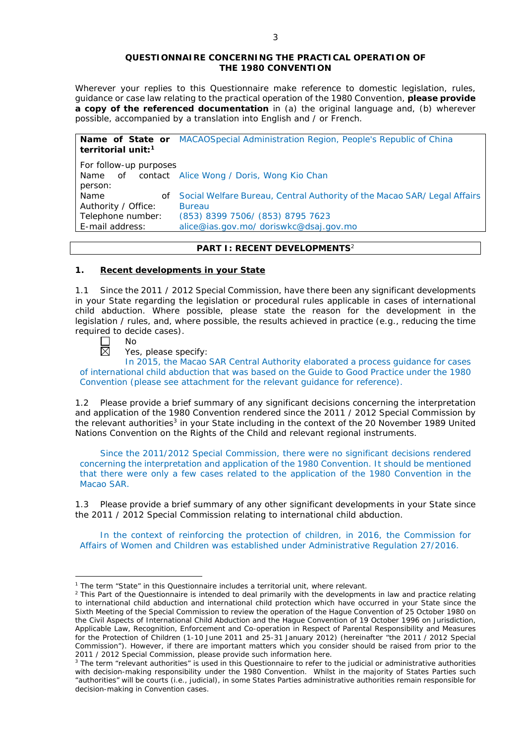#### **QUESTIONNAIRE CONCERNING THE PRACTICAL OPERATION OF THE 1980 CONVENTION**

*Wherever your replies to this Questionnaire make reference to domestic legislation, rules, guidance or case law relating to the practical operation of the 1980 Convention, please provide a copy of the referenced documentation in (a) the original language and, (b) wherever possible, accompanied by a translation into English and / or French.* 

**Name of State or**  MACAOSpecial Administration Region, People's Republic of China **territorial unit:1** *For follow-up purposes* Name of contact Alice Wong / Doris, Wong Kio Chan person: Name of Authority / Office: Social Welfare Bureau, Central Authority of the Macao SAR/ Legal Affairs Bureau Telephone number: (853) 8399 7506/ (853) 8795 7623 E-mail address: alice@ias.gov.mo/ doriswkc@dsaj.gov.mo

### **PART I: RECENT DEVELOPMENTS**<sup>2</sup>

### **1. Recent developments in your State**

1.1 Since the 2011 / 2012 Special Commission, have there been any significant developments in your State regarding the legislation or procedural rules applicable in cases of international child abduction. Where possible, please state the reason for the development in the legislation / rules, and, where possible, the results achieved in practice (*e.g.*, reducing the time required to decide cases).

No 岗

<u>.</u>

Yes, please specify:

In 2015, the Macao SAR Central Authority elaborated a process guidance for cases of international child abduction that was based on the Guide to Good Practice under the 1980 Convention (please see attachment for the relevant guidance for reference).

1.2 Please provide a brief summary of any significant decisions concerning the interpretation and application of the 1980 Convention rendered since the 2011 / 2012 Special Commission by the relevant authorities<sup>3</sup> in your State including in the context of the 20 November 1989 United Nations Convention on the Rights of the Child and relevant regional instruments.

Since the 2011/2012 Special Commission, there were no significant decisions rendered concerning the interpretation and application of the 1980 Convention. It should be mentioned that there were only a few cases related to the application of the 1980 Convention in the Macao SAR.

1.3 Please provide a brief summary of any other significant developments in your State since the 2011 / 2012 Special Commission relating to international child abduction.

In the context of reinforcing the protection of children, in 2016, the Commission for Affairs of Women and Children was established under Administrative Regulation 27/2016.

<sup>&</sup>lt;sup>1</sup> The term "State" in this Questionnaire includes a territorial unit, where relevant.

 $<sup>2</sup>$  This Part of the Questionnaire is intended to deal primarily with the developments in law and practice relating</sup> to international child abduction and international child protection which have occurred in your State since the Sixth Meeting of the Special Commission to review the operation of the *Hague Convention of 25 October 1980 on the Civil Aspects of International Child Abduction* and the *Hague Convention of 19 October 1996 on Jurisdiction, Applicable Law, Recognition, Enforcement and Co-operation in Respect of Parental Responsibility and Measures for the Protection of Children* (1-10 June 2011 and 25-31 January 2012) (hereinafter "the 2011 / 2012 Special Commission"). However, if there are important matters which you consider should be raised from *prior to* the 2011 / 2012 Special Commission, please provide such information here.

<sup>3</sup> The term "relevant authorities" is used in this Questionnaire to refer to the judicial or administrative authorities with decision-making responsibility under the 1980 Convention. Whilst in the majority of States Parties such "authorities" will be courts (*i.e.*, judicial), in some States Parties administrative authorities remain responsible for decision-making in Convention cases.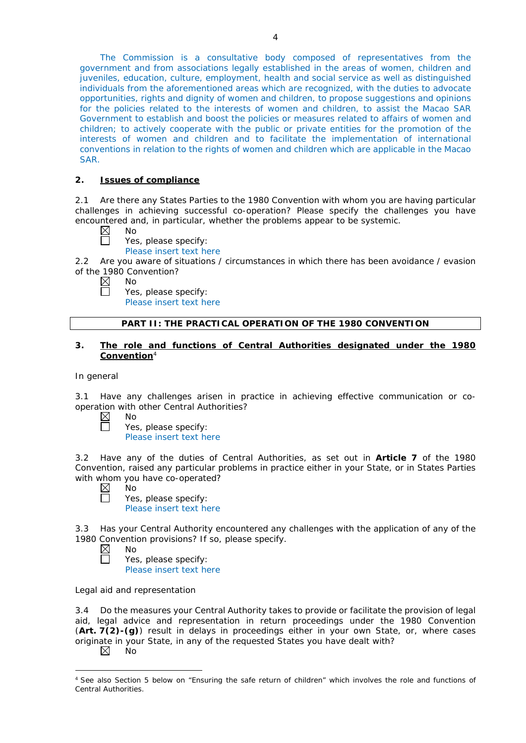The Commission is a consultative body composed of representatives from the government and from associations legally established in the areas of women, children and juveniles, education, culture, employment, health and social service as well as distinguished individuals from the aforementioned areas which are recognized, with the duties to advocate opportunities, rights and dignity of women and children, to propose suggestions and opinions for the policies related to the interests of women and children, to assist the Macao SAR Government to establish and boost the policies or measures related to affairs of women and children; to actively cooperate with the public or private entities for the promotion of the interests of women and children and to facilitate the implementation of international conventions in relation to the rights of women and children which are applicable in the Macao SAR.

# **2. Issues of compliance**

2.1 Are there any States Parties to the 1980 Convention with whom you are having particular challenges in achieving successful co-operation? Please specify the challenges you have encountered and, in particular, whether the problems appear to be systemic.

 $\boxtimes$ No

П

- Yes, please specify:
	- Please insert text here

2.2 Are you aware of situations / circumstances in which there has been avoidance / evasion of the 1980 Convention?

 $\boxtimes$ No

Yes, please specify:

Please insert text here

### **PART II: THE PRACTICAL OPERATION OF THE 1980 CONVENTION**

# **3. The role and functions of Central Authorities designated under the 1980 Convention**<sup>4</sup>

*In general*

3.1 Have any challenges arisen in practice in achieving effective communication or cooperation with other Central Authorities?

 $\boxtimes$ No  $\Box$ 

No

Yes, please specify: Please insert text here

3.2 Have any of the duties of Central Authorities, as set out in **Article 7** of the 1980 Convention, raised any particular problems in practice either in your State, or in States Parties with whom you have co-operated?

 $\boxtimes$ П

Yes, please specify: Please insert text here

3.3 Has your Central Authority encountered any challenges with the application of any of the 1980 Convention provisions? If so, please specify.<br>  $\boxtimes$  No

No Yes, please specify: Please insert text here

## *Legal aid and representation*

3.4 Do the measures your Central Authority takes to provide or facilitate the provision of legal aid, legal advice and representation in return proceedings under the 1980 Convention (**Art. 7(2)-(g)**) result in delays in proceedings either in your own State, or, where cases originate in your State, in any of the requested States you have dealt with?  $\boxtimes$ 

No

<sup>-</sup><sup>4</sup> See also Section 5 below on "Ensuring the safe return of children" which involves the role and functions of Central Authorities.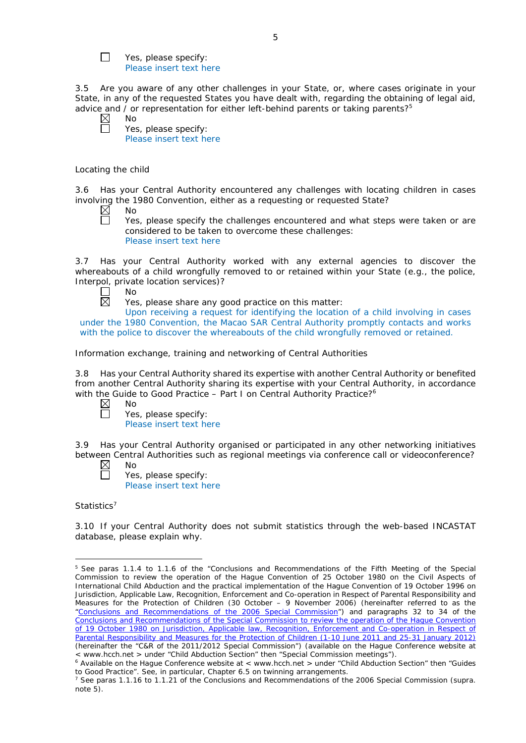Yes, please specify: Please insert text here

3.5 Are you aware of any other challenges in your State, or, where cases originate in your State, in any of the requested States you have dealt with, regarding the obtaining of legal aid, advice and  $\ell$  or representation for either left-behind parents or taking parents?<sup>5</sup>

 $\boxtimes$ No

 $\Box$ 

Yes, please specify: Please insert text here

### *Locating the child*

3.6 Has your Central Authority encountered any challenges with locating children in cases involving the 1980 Convention, either as a requesting or requested State?

 $\boxtimes$ No

 $\Box$ 

Yes, please specify the challenges encountered and what steps were taken or are considered to be taken to overcome these challenges: Please insert text here

3.7 Has your Central Authority worked with any external agencies to discover the whereabouts of a child wrongfully removed to or retained within your State (*e.g.*, the police, Interpol, private location services)?

No 岗

Yes, please share any good practice on this matter:

Upon receiving a request for identifying the location of a child involving in cases under the 1980 Convention, the Macao SAR Central Authority promptly contacts and works with the police to discover the whereabouts of the child wrongfully removed or retained.

*Information exchange, training and networking of Central Authorities*

3.8 Has your Central Authority shared its expertise with another Central Authority or benefited from another Central Authority sharing its expertise with your Central Authority, in accordance with the Guide to Good Practice - Part I on Central Authority Practice?<sup>6</sup>

- $\boxtimes$ No
	- Yes, please specify:

Please insert text here

3.9 Has your Central Authority organised or participated in any other networking initiatives between Central Authorities such as regional meetings via conference call or videoconference?

- $\boxtimes$ No
	- Yes, please specify: Please insert text here

## *Statistics*<sup>7</sup>

<u>.</u>

3.10 If your Central Authority does not submit statistics through the web-based INCASTAT database, please explain why.

<sup>5</sup> See paras 1.1.4 to 1.1.6 of the "Conclusions and Recommendations of the Fifth Meeting of the Special Commission to review the operation of the *Hague Convention of 25 October 1980 on the Civil Aspects of International Child Abduction* and the practical implementation of the *Hague Convention of 19 October 1996 on Jurisdiction, Applicable Law, Recognition, Enforcement and Co-operation in Respect of Parental Responsibility and Measures for the Protection of Children* (30 October – 9 November 2006) (hereinafter referred to as the ["Conclusions and Recommendations of the 2006 Special Commission"](https://assets.hcch.net/upload/concl28sc5_e.pdf)) and paragraphs 32 to 34 of the [Conclusions and Recommendations of the Special Commission](https://assets.hcch.net/upload/wop/concl28sc6_e.pdf) to review the operation of the Hague Convention of *[19 October 1980 on Jurisdiction, Applicable law, Recognition, Enforcement and Co-operation in Respect of](https://assets.hcch.net/upload/wop/concl28sc6_e.pdf)  [Parental Responsibility and Measures for the Protection of Children](https://assets.hcch.net/upload/wop/concl28sc6_e.pdf)* (1-10 June 2011 and 25-31 January 2012) (hereinafter the "C&R of the 2011/2012 Special Commission") (available on the Hague Conference website at < www.hcch.net > under "Child Abduction Section" then "Special Commission meetings").

 $6$  Available on the Hague Conference website at < www.hcch.net > under "Child Abduction Section" then "Guides to Good Practice". See, in particular, Chapter 6.5 on twinning arrangements.

<sup>7</sup> See paras 1.1.16 to 1.1.21 of the Conclusions and Recommendations of the 2006 Special Commission (*supra.*  note 5).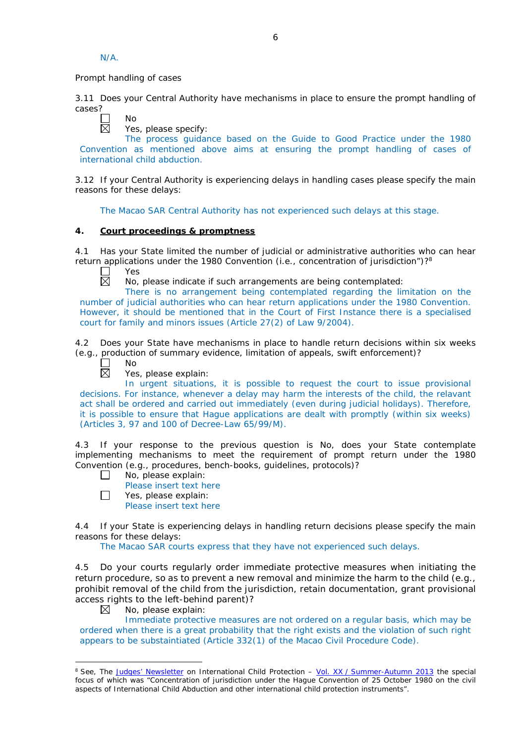N/A.

*Prompt handling of cases*

3.11 Does your Central Authority have mechanisms in place to ensure the prompt handling of cases?

No 反

Yes, please specify:

The process guidance based on the Guide to Good Practice under the 1980 Convention as mentioned above aims at ensuring the prompt handling of cases of international child abduction.

3.12 If your Central Authority is experiencing delays in handling cases please specify the main reasons for these delays:

The Macao SAR Central Authority has not experienced such delays at this stage.

# **4. Court proceedings & promptness**

4.1 Has your State limited the number of judicial or administrative authorities who can hear return applications under the 1980 Convention  $(i.e.,$  concentration of jurisdiction")?<sup>8</sup>

Yes 反

No, please indicate if such arrangements are being contemplated:

There is no arrangement being contemplated regarding the limitation on the number of judicial authorities who can hear return applications under the 1980 Convention. However, it should be mentioned that in the Court of First Instance there is a specialised court for family and minors issues (Article 27(2) of Law 9/2004).

4.2 Does your State have mechanisms in place to handle return decisions within six weeks (*e.g.*, production of summary evidence, limitation of appeals, swift enforcement)?



Yes, please explain:

In urgent situations, it is possible to request the court to issue provisional decisions. For instance, whenever a delay may harm the interests of the child, the relavant act shall be ordered and carried out immediately (even during judicial holidays). Therefore, it is possible to ensure that Hague applications are dealt with promptly (within six weeks) (Articles 3, 97 and 100 of Decree-Law 65/99/M).

4.3 If your response to the previous question is No, does your State contemplate implementing mechanisms to meet the requirement of prompt return under the 1980 Convention (*e.g.*, procedures, bench-books, guidelines, protocols)?

- $\Box$ No, please explain:
	- Please insert text here
- П Yes, please explain:
	- Please insert text here

4.4 If your State is experiencing delays in handling return decisions please specify the main reasons for these delays:

The Macao SAR courts express that they have not experienced such delays.

4.5 Do your courts regularly order immediate protective measures when initiating the return procedure, so as to prevent a new removal and minimize the harm to the child (*e.g.*, prohibit removal of the child from the jurisdiction, retain documentation, grant provisional access rights to the left-behind parent)?

⊠ No, please explain:

-

Immediate protective measures are not ordered on a regular basis, which may be ordered when there is a great probability that the right exists and the violation of such right appears to be substaintiated (Article 332(1) of the Macao Civil Procedure Code).

<sup>8</sup> See, *The [Judges' Newsletter](https://www.hcch.net/en/instruments/conventions/publications2/judges-newsletter)* on International Child Protection – Vol. XX / [Summer-Autumn 2013](https://assets.hcch.net/upload/newsletter/nl2013tome20en.pdf) the special focus of which was "Concentration of jurisdiction under the *Hague Convention of 25 October 1980 on the civil aspects of International Child Abduction* and other international child protection instruments".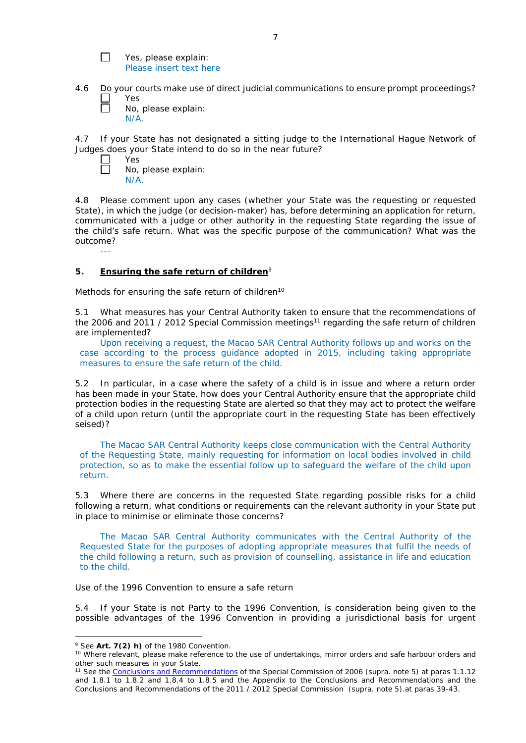- $\Box$ Yes, please explain: Please insert text here
- 4.6 Do your courts make use of direct judicial communications to ensure prompt proceedings? Yes
	- No, please explain: N/A.

4.7 If your State has not designated a sitting judge to the International Hague Network of Judges does your State intend to do so in the near future?

Yes  $\Box$ No, please explain: N/A.

---

 $\Box$ 

4.8 Please comment upon any cases (whether your State was the requesting or requested State), in which the judge (or decision-maker) has, before determining an application for return, communicated with a judge or other authority in the requesting State regarding the issue of the child's safe return. What was the specific purpose of the communication? What was the outcome?

# **5. Ensuring the safe return of children**<sup>9</sup>

*Methods for ensuring the safe return of children*<sup>10</sup>

5.1 What measures has your Central Authority taken to ensure that the recommendations of the 2006 and 2011 / 2012 Special Commission meetings<sup>11</sup> regarding the safe return of children are implemented?

Upon receiving a request, the Macao SAR Central Authority follows up and works on the case according to the process guidance adopted in 2015, including taking appropriate measures to ensure the safe return of the child.

5.2 In particular, in a case where the safety of a child is in issue and where a return order has been made in your State, how does your Central Authority ensure that the appropriate child protection bodies in the *requesting* State are alerted so that they may act to protect the welfare of a child upon return (until the appropriate court in the requesting State has been effectively seised)?

The Macao SAR Central Authority keeps close communication with the Central Authority of the Requesting State, mainly requesting for information on local bodies involved in child protection, so as to make the essential follow up to safeguard the welfare of the child upon return.

5.3 Where there are concerns in the requested State regarding possible risks for a child following a return, what conditions or requirements can the relevant authority in your State put in place to minimise or eliminate those concerns?

The Macao SAR Central Authority communicates with the Central Authority of the Requested State for the purposes of adopting appropriate measures that fulfil the needs of the child following a return, such as provision of counselling, assistance in life and education to the child.

## *Use of the 1996 Convention to ensure a safe return*

5.4 If your State is not Party to the 1996 Convention, is consideration being given to the possible advantages of the 1996 Convention in providing a jurisdictional basis for urgent

-

<sup>&</sup>lt;sup>9</sup> See **Art. 7(2)** *h)* of the 1980 Convention.<br><sup>10</sup> Where relevant, please make reference to the use of undertakings, mirror orders and safe harbour orders and other such measures in your State.

<sup>11</sup> See th[e Conclusions and Recommendations](https://assets.hcch.net/upload/concl28sc5_e.pdf) of the Special Commission of 2006 (*supra.* note 5) at paras 1.1.12 and 1.8.1 to 1.8.2 and 1.8.4 to 1.8.5 and the Appendix to the Conclusions and Recommendations and the [Conclusions and Recommendations](https://assets.hcch.net/upload/wop/concl28sc6_e.pdf) of the 2011 / 2012 Special Commission (*supra.* note 5).at paras 39-43.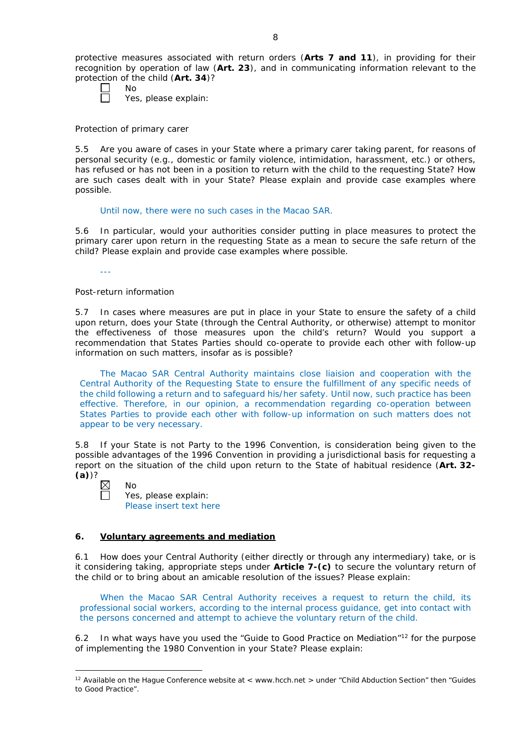protective measures associated with return orders (**Arts 7 and 11**), in providing for their recognition by operation of law (**Art. 23**), and in communicating information relevant to the protection of the child (**Art. 34**)?

Yes, please explain:

*Protection of primary carer*

No

5.5 Are you aware of cases in your State where a primary carer taking parent, for reasons of personal security (*e.g.*, domestic or family violence, intimidation, harassment, etc.) or others, has refused or has not been in a position to return with the child to the requesting State? How are such cases dealt with in your State? Please explain and provide case examples where possible.

Until now, there were no such cases in the Macao SAR.

5.6 In particular, would your authorities consider putting in place measures to protect the primary carer upon return in the requesting State as a mean to secure the safe return of the child? Please explain and provide case examples where possible.

---

# *Post-return information*

5.7 In cases where measures are put in place in your State to ensure the safety of a child upon return, does your State (through the Central Authority, or otherwise) attempt to monitor the effectiveness of those measures upon the child's return? Would you support a recommendation that States Parties should co-operate to provide each other with follow-up information on such matters, insofar as is possible?

The Macao SAR Central Authority maintains close liaision and cooperation with the Central Authority of the Requesting State to ensure the fulfillment of any specific needs of the child following a return and to safeguard his/her safety. Until now, such practice has been effective. Therefore, in our opinion, a recommendation regarding co-operation between States Parties to provide each other with follow-up information on such matters does not appear to be very necessary.

5.8 If your State is not Party to the 1996 Convention, is consideration being given to the possible advantages of the 1996 Convention in providing a jurisdictional basis for requesting a report on the situation of the child upon return to the State of habitual residence (**Art. 32- (a)**)?

| $\boxtimes$ | Nο                      |
|-------------|-------------------------|
| $\Box$      | Yes, please explain:    |
|             | Please insert text here |

# **6. Voluntary agreements and mediation**

6.1 How does your Central Authority (either directly or through any intermediary) take, or is it considering taking, appropriate steps under **Article 7-(c)** to secure the voluntary return of the child or to bring about an amicable resolution of the issues? Please explain:

When the Macao SAR Central Authority receives a request to return the child, its professional social workers, according to the internal process guidance, get into contact with the persons concerned and attempt to achieve the voluntary return of the child.

6.2 In what ways have you used the "Guide to Good Practice on Mediation"<sup>12</sup> for the purpose of implementing the 1980 Convention in your State? Please explain:

<sup>-</sup><sup>12</sup> Available on the Hague Conference website at < www.hcch.net > under "Child Abduction Section" then "Guides to Good Practice".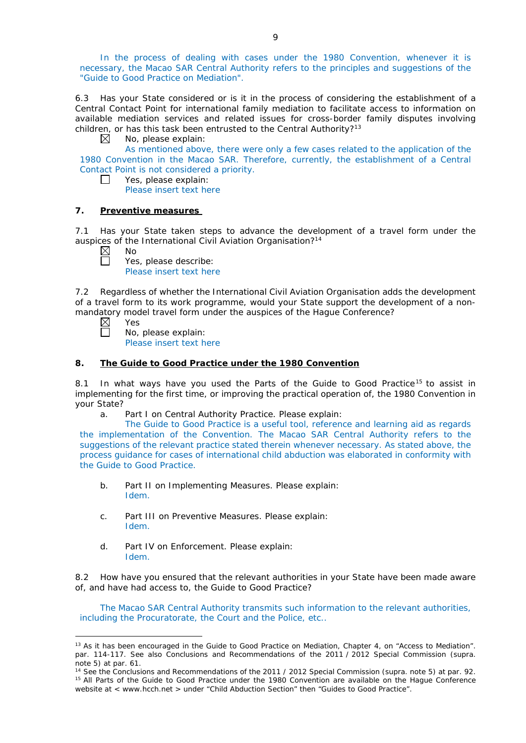In the process of dealing with cases under the 1980 Convention, whenever it is necessary, the Macao SAR Central Authority refers to the principles and suggestions of the "Guide to Good Practice on Mediation".

6.3 Has your State considered or is it in the process of considering the establishment of a Central Contact Point for international family mediation to facilitate access to information on available mediation services and related issues for cross-border family disputes involving children, or has this task been entrusted to the Central Authority?<sup>13</sup>

 $\boxtimes$ No, please explain:

As mentioned above, there were only a few cases related to the application of the 1980 Convention in the Macao SAR. Therefore, currently, the establishment of a Central Contact Point is not considered a priority.

Yes, please explain:  $\perp$ 

Please insert text here

# **7. Preventive measures**

7.1 Has your State taken steps to advance the development of a travel form under the auspices of the International Civil Aviation Organisation?<sup>14</sup>

 $\Box$ 

Yes, please describe: Please insert text here

7.2 Regardless of whether the International Civil Aviation Organisation adds the development of a travel form to its work programme, would your State support the development of a nonmandatory model travel form under the auspices of the Hague Conference?<br>  $\boxtimes$  Yes<br>  $\Box$  No, please explain:

Yes

-

No, please explain:

Please insert text here

# **8. The Guide to Good Practice under the 1980 Convention**

8.1 In what ways have you used the Parts of the Guide to Good Practice<sup>15</sup> to assist in implementing for the first time, or improving the practical operation of, the 1980 Convention in your State?

a. Part I on Central Authority Practice. Please explain:

The Guide to Good Practice is a useful tool, reference and learning aid as regards the implementation of the Convention. The Macao SAR Central Authority refers to the suggestions of the relevant practice stated therein whenever necessary. As stated above, the process guidance for cases of international child abduction was elaborated in conformity with the Guide to Good Practice.

- b. Part II on Implementing Measures. Please explain: Idem.
- c. Part III on Preventive Measures. Please explain: Idem.
- d. Part IV on Enforcement. Please explain: Idem.

8.2 How have you ensured that the relevant authorities in your State have been made aware of, and have had access to, the Guide to Good Practice?

The Macao SAR Central Authority transmits such information to the relevant authorities, including the Procuratorate, the Court and the Police, etc..

<sup>&</sup>lt;sup>13</sup> As it has been encouraged in the Guide to Good Practice on Mediation, Chapter 4, on "Access to Mediation". par. 114-117. See also [Conclusions and Recommendations of the 2011](https://assets.hcch.net/upload/wop/concl28sc6_e.pdf) / 2012 Special Commission (*supra.*  note 5) at par. 61.

<sup>14</sup> See th[e Conclusions and Recommendations of the 2011](https://assets.hcch.net/upload/wop/concl28sc6_e.pdf) / 2012 Special Commission (*supra.* note 5) at par. 92. <sup>15</sup> All Parts of the Guide to Good Practice under the 1980 Convention are available on the Hague Conference website at < www.hcch.net > under "Child Abduction Section" then "Guides to Good Practice".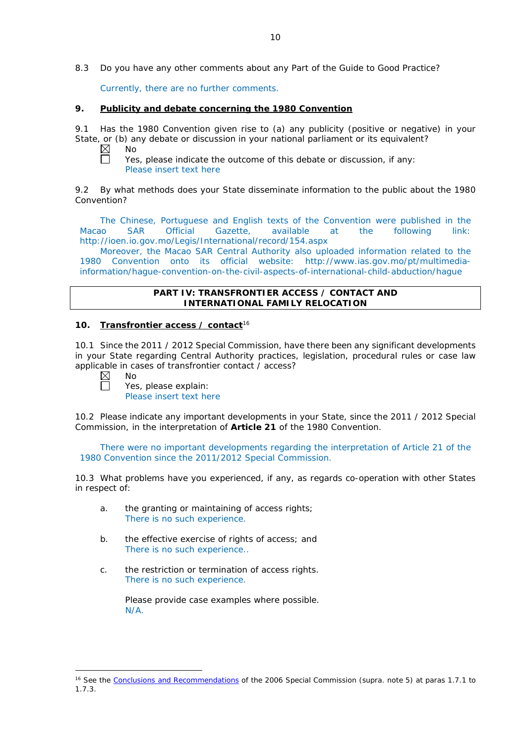8.3 Do you have any other comments about any Part of the Guide to Good Practice?

Currently, there are no further comments.

### **9. Publicity and debate concerning the 1980 Convention**

9.1 Has the 1980 Convention given rise to (a) any publicity (positive or negative) in your State, or (b) any debate or discussion in your national parliament or its equivalent? No

 $\boxtimes$  $\Box$ 

Yes, please indicate the outcome of this debate or discussion, if any: Please insert text here

9.2 By what methods does your State disseminate information to the public about the 1980 Convention?

The Chinese, Portuguese and English texts of the Convention were published in the Macao SAR Official Gazette, available at the following link: http://ioen.io.gov.mo/Legis/International/record/154.aspx

Moreover, the Macao SAR Central Authority also uploaded information related to the 1980 Convention onto its official website: http://www.ias.gov.mo/pt/multimediainformation/hague-convention-on-the-civil-aspects-of-international-child-abduction/hague

## **PART IV: TRANSFRONTIER ACCESS / CONTACT AND INTERNATIONAL FAMILY RELOCATION**

# **10. Transfrontier access / contact**<sup>16</sup>

10.1 Since the 2011 / 2012 Special Commission, have there been any significant developments in your State regarding Central Authority practices, legislation, procedural rules or case law applicable in cases of transfrontier contact / access?

Г

-

No Yes, please explain: Please insert text here

10.2 Please indicate any important developments in your State, since the 2011 / 2012 Special Commission, in the interpretation of **Article 21** of the 1980 Convention.

There were no important developments regarding the interpretation of Article 21 of the 1980 Convention since the 2011/2012 Special Commission.

10.3 What problems have you experienced, if any, as regards co-operation with other States in respect of:

- a. the granting or maintaining of access rights; There is no such experience.
- b. the effective exercise of rights of access; and There is no such experience..
- c. the restriction or termination of access rights. There is no such experience.

Please provide case examples where possible. N/A.

<sup>16</sup> See the [Conclusions and Recommendations](https://assets.hcch.net/upload/concl28sc5_e.pdf) of the 2006 Special Commission (*supra.* note 5) at paras 1.7.1 to 1.7.3.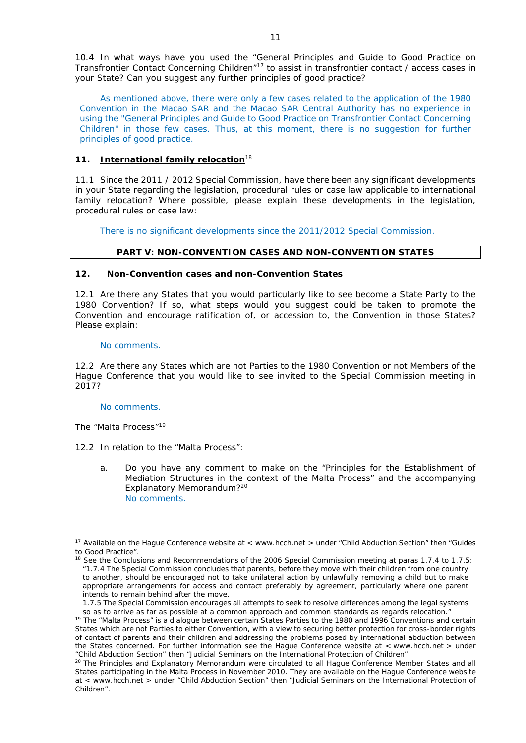10.4 In what ways have you used the "General Principles and Guide to Good Practice on Transfrontier Contact Concerning Children"17 to assist in transfrontier contact / access cases in your State? Can you suggest any further principles of good practice?

As mentioned above, there were only a few cases related to the application of the 1980 Convention in the Macao SAR and the Macao SAR Central Authority has no experience in using the "General Principles and Guide to Good Practice on Transfrontier Contact Concerning Children" in those few cases. Thus, at this moment, there is no suggestion for further principles of good practice.

# **11. International family relocation**<sup>18</sup>

11.1 Since the 2011 / 2012 Special Commission, have there been any significant developments in your State regarding the legislation, procedural rules or case law applicable to international family relocation? Where possible, please explain these developments in the legislation, procedural rules or case law:

There is no significant developments since the 2011/2012 Special Commission.

### **PART V: NON-CONVENTION CASES AND NON-CONVENTION STATES**

#### **12. Non-Convention cases and non-Convention States**

12.1 Are there any States that you would particularly like to see become a State Party to the 1980 Convention? If so, what steps would you suggest could be taken to promote the Convention and encourage ratification of, or accession to, the Convention in those States? Please explain:

### No comments.

12.2 Are there any States which are not Parties to the 1980 Convention or not Members of the Hague Conference that you would like to see invited to the Special Commission meeting in 2017?

#### No comments.

#### *The "Malta Process"*<sup>19</sup>

-

12.2 In relation to the "Malta Process":

a. Do you have any comment to make on the "Principles for the Establishment of Mediation Structures in the context of the Malta Process" and the accompanying Explanatory Memorandum?<sup>20</sup> No comments.

<sup>&</sup>lt;sup>17</sup> Available on the Hague Conference website at < www.hcch.net > under "Child Abduction Section" then "Guides to Good Practice".

<sup>&</sup>lt;sup>18</sup> See the Conclusions and Recommendations of the 2006 Special Commission meeting at paras 1.7.4 to 1.7.5: *"*1.7.4 The Special Commission concludes that parents, before they move with their children from one country to another, should be encouraged not to take unilateral action by unlawfully removing a child but to make appropriate arrangements for access and contact preferably by agreement, particularly where one parent intends to remain behind after the move.

<sup>1.7.5</sup> The Special Commission encourages all attempts to seek to resolve differences among the legal systems so as to arrive as far as possible at a common approach and common standards as regards relocation."  $19$  The "Malta Process" is a dialogue between certain States Parties to the 1980 and 1996 Conventions and certain States which are not Parties to either Convention, with a view to securing better protection for cross-border rights of contact of parents and their children and addressing the problems posed by international abduction between

the States concerned. For further information see the Hague Conference website at < www.hcch.net > under "Child Abduction Section" then "Judicial Seminars on the International Protection of Children". <sup>20</sup> The Principles and Explanatory Memorandum were circulated to all Hague Conference Member States and all

States participating in the Malta Process in November 2010. They are available on the Hague Conference website at < www.hcch.net > under "Child Abduction Section" then "Judicial Seminars on the International Protection of Children".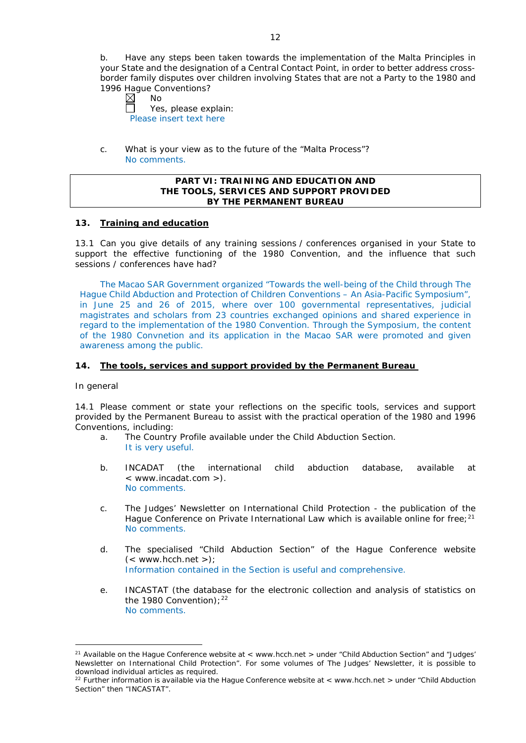b. Have any steps been taken towards the implementation of the Malta Principles in your State and the designation of a Central Contact Point, in order to better address crossborder family disputes over children involving States that are not a Party to the 1980 and 1996 Hague Conventions?<br>  $\boxtimes$  No

No  $\Box$ Yes, please explain: Please insert text here

c. What is your view as to the future of the "Malta Process"? No comments.

### **PART VI: TRAINING AND EDUCATION AND THE TOOLS, SERVICES AND SUPPORT PROVIDED BY THE PERMANENT BUREAU**

## **13. Training and education**

13.1 Can you give details of any training sessions / conferences organised in your State to support the effective functioning of the 1980 Convention, and the influence that such sessions / conferences have had?

The Macao SAR Government organized "Towards the well-being of the Child through The Hague Child Abduction and Protection of Children Conventions – An Asia-Pacific Symposium", in June 25 and 26 of 2015, where over 100 governmental representatives, judicial magistrates and scholars from 23 countries exchanged opinions and shared experience in regard to the implementation of the 1980 Convention. Through the Symposium, the content of the 1980 Convnetion and its application in the Macao SAR were promoted and given awareness among the public.

## **14. The tools, services and support provided by the Permanent Bureau**

#### *In general*

14.1 Please comment or state your reflections on the specific tools, services and support provided by the Permanent Bureau to assist with the practical operation of the 1980 and 1996 Conventions, including:

- a. The Country Profile available under the Child Abduction Section. It is very useful.
- b. INCADAT (the international child abduction database, available at < www.incadat.com >). No comments.
- c. *The Judges' Newsletter* on International Child Protection the publication of the Hague Conference on Private International Law which is available online for free;<sup>21</sup> No comments.
- d. The specialised "Child Abduction Section" of the Hague Conference website  $(<$  www.hcch.net >); Information contained in the Section is useful and comprehensive.
- e. INCASTAT (the database for the electronic collection and analysis of statistics on the 1980 Convention);  $22$ No comments.

<sup>-</sup><sup>21</sup> Available on the Hague Conference website at  $\lt$  www.hcch.net  $\gt$  under "Child Abduction Section" and "Judges" Newsletter on International Child Protection". For some volumes of *The Judges' Newsletter*, it is possible to download individual articles as required.

<sup>&</sup>lt;sup>22</sup> Further information is available via the Hague Conference website at < www.hcch.net > under "Child Abduction Section" then "INCASTAT".